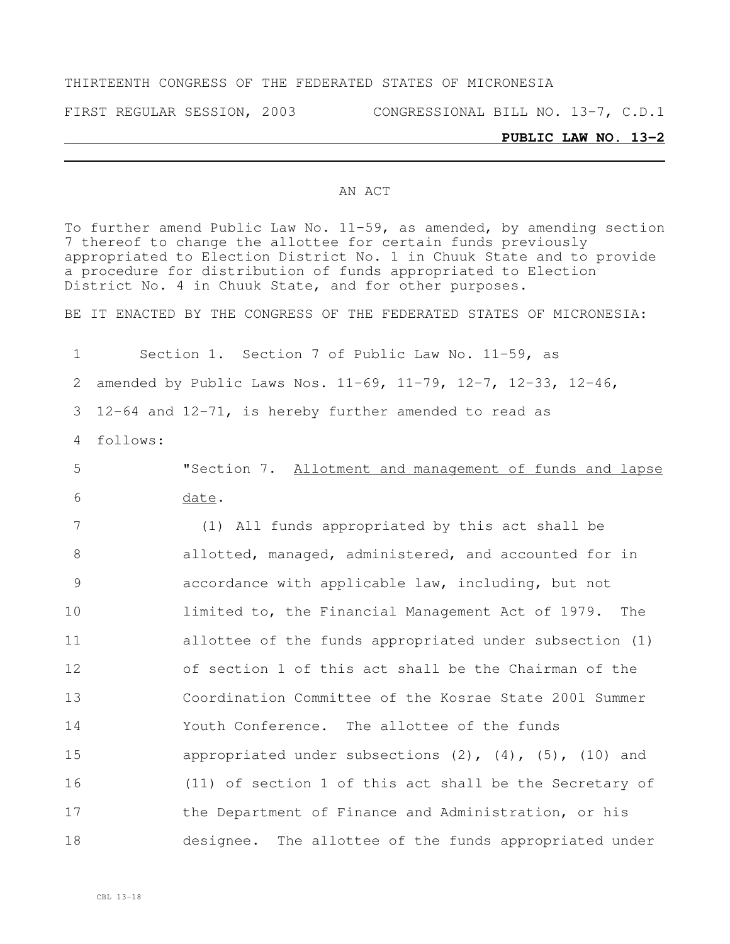#### THIRTEENTH CONGRESS OF THE FEDERATED STATES OF MICRONESIA

FIRST REGULAR SESSION, 2003 CONGRESSIONAL BILL NO. 13-7, C.D.1

#### **PUBLIC LAW NO. 13-2**

#### AN ACT

To further amend Public Law No. 11-59, as amended, by amending section 7 thereof to change the allottee for certain funds previously appropriated to Election District No. 1 in Chuuk State and to provide a procedure for distribution of funds appropriated to Election District No. 4 in Chuuk State, and for other purposes.

BE IT ENACTED BY THE CONGRESS OF THE FEDERATED STATES OF MICRONESIA:

 Section 1. Section 7 of Public Law No. 11-59, as amended by Public Laws Nos. 11-69, 11-79, 12-7, 12-33, 12-46, 12-64 and 12-71, is hereby further amended to read as 4 follows: "Section 7. Allotment and management of funds and lapse 6 date. (1) All funds appropriated by this act shall be 8 allotted, managed, administered, and accounted for in accordance with applicable law, including, but not limited to, the Financial Management Act of 1979. The allottee of the funds appropriated under subsection (1) of section 1 of this act shall be the Chairman of the Coordination Committee of the Kosrae State 2001 Summer Youth Conference. The allottee of the funds appropriated under subsections (2), (4), (5), (10) and (11) of section 1 of this act shall be the Secretary of 17 the Department of Finance and Administration, or his designee. The allottee of the funds appropriated under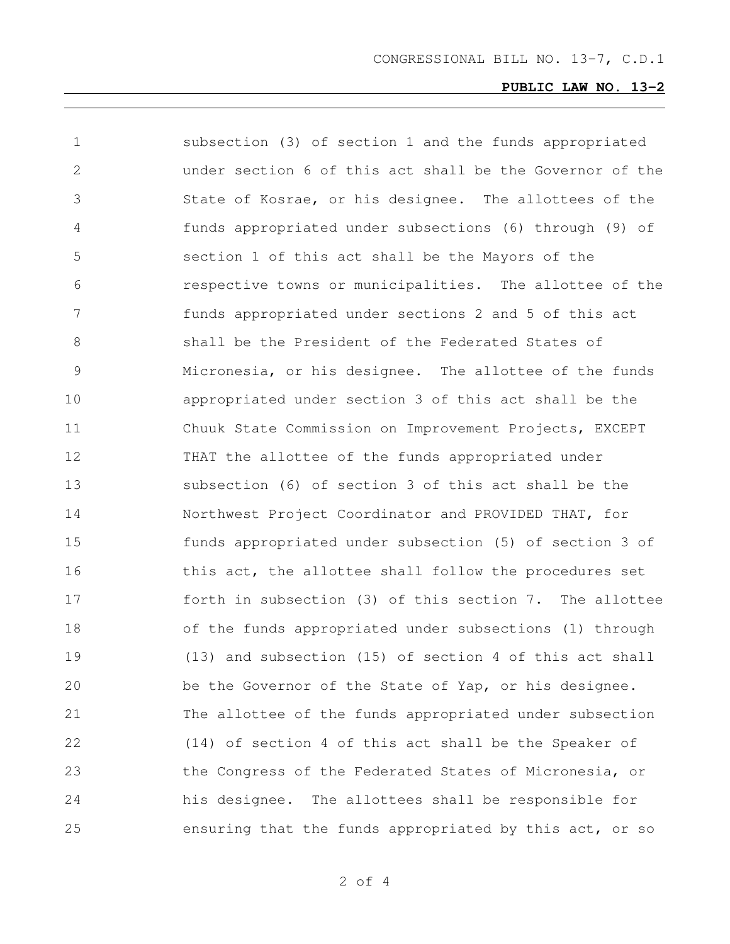| 1             | subsection (3) of section 1 and the funds appropriated      |
|---------------|-------------------------------------------------------------|
| 2             | under section 6 of this act shall be the Governor of the    |
| 3             | State of Kosrae, or his designee. The allottees of the      |
| 4             | funds appropriated under subsections (6) through (9) of     |
| 5             | section 1 of this act shall be the Mayors of the            |
| 6             | respective towns or municipalities. The allottee of the     |
| 7             | funds appropriated under sections 2 and 5 of this act       |
| 8             | shall be the President of the Federated States of           |
| $\mathcal{G}$ | Micronesia, or his designee. The allottee of the funds      |
| 10            | appropriated under section 3 of this act shall be the       |
| 11            | Chuuk State Commission on Improvement Projects, EXCEPT      |
| 12            | THAT the allottee of the funds appropriated under           |
| 13            | subsection (6) of section 3 of this act shall be the        |
| 14            | Northwest Project Coordinator and PROVIDED THAT, for        |
| 15            | funds appropriated under subsection (5) of section 3 of     |
| 16            | this act, the allottee shall follow the procedures set      |
| 17            | forth in subsection (3) of this section 7. The allottee     |
| 18            | of the funds appropriated under subsections (1) through     |
| 19            | $(13)$ and subsection $(15)$ of section 4 of this act shall |
| 20            | be the Governor of the State of Yap, or his designee.       |
| 21            | The allottee of the funds appropriated under subsection     |
| 22            | (14) of section 4 of this act shall be the Speaker of       |
| 23            | the Congress of the Federated States of Micronesia, or      |
| 24            | his designee. The allottees shall be responsible for        |
| 25            | ensuring that the funds appropriated by this act, or so     |

of 4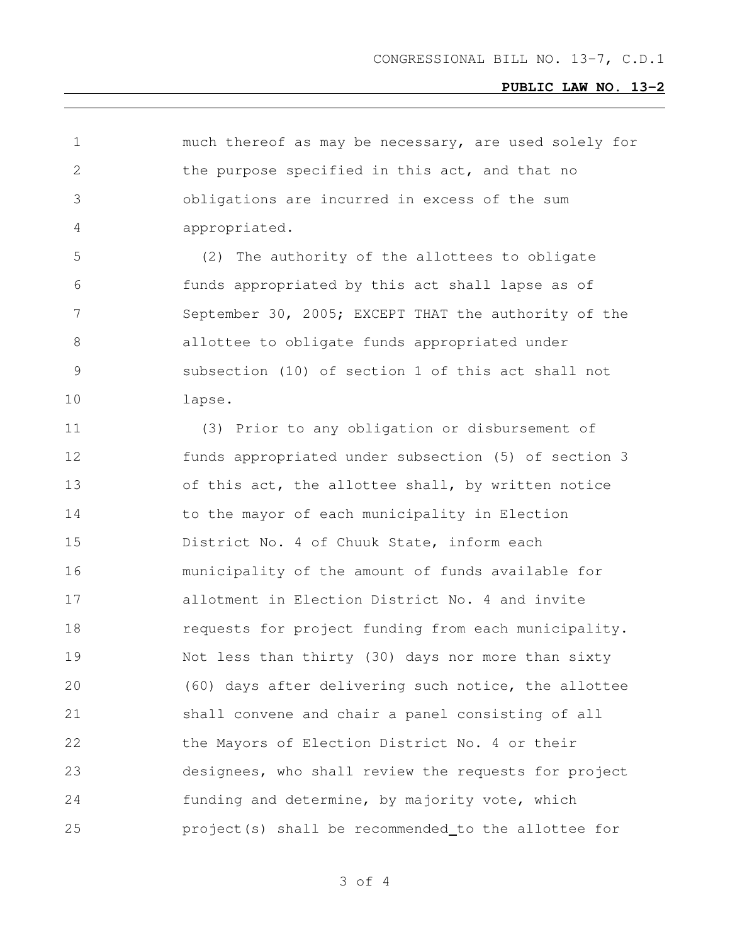| 1             | much thereof as may be necessary, are used solely for |
|---------------|-------------------------------------------------------|
| 2             | the purpose specified in this act, and that no        |
| 3             | obligations are incurred in excess of the sum         |
| 4             | appropriated.                                         |
| 5             | The authority of the allottees to obligate<br>(2)     |
| 6             | funds appropriated by this act shall lapse as of      |
| 7             | September 30, 2005; EXCEPT THAT the authority of the  |
| 8             | allottee to obligate funds appropriated under         |
| $\mathcal{G}$ | subsection (10) of section 1 of this act shall not    |
| 10            | lapse.                                                |
| 11            | (3) Prior to any obligation or disbursement of        |
| 12            | funds appropriated under subsection (5) of section 3  |
| 13            | of this act, the allottee shall, by written notice    |
| 14            | to the mayor of each municipality in Election         |
| 15            | District No. 4 of Chuuk State, inform each            |
| 16            | municipality of the amount of funds available for     |
| 17            | allotment in Election District No. 4 and invite       |
| 18            | requests for project funding from each municipality.  |
| 19            | Not less than thirty (30) days nor more than sixty    |
| 20            | (60) days after delivering such notice, the allottee  |
| 21            | shall convene and chair a panel consisting of all     |
| 22            | the Mayors of Election District No. 4 or their        |
| 23            | designees, who shall review the requests for project  |
| 24            | funding and determine, by majority vote, which        |
| 25            | project(s) shall be recommended_to the allottee for   |

of 4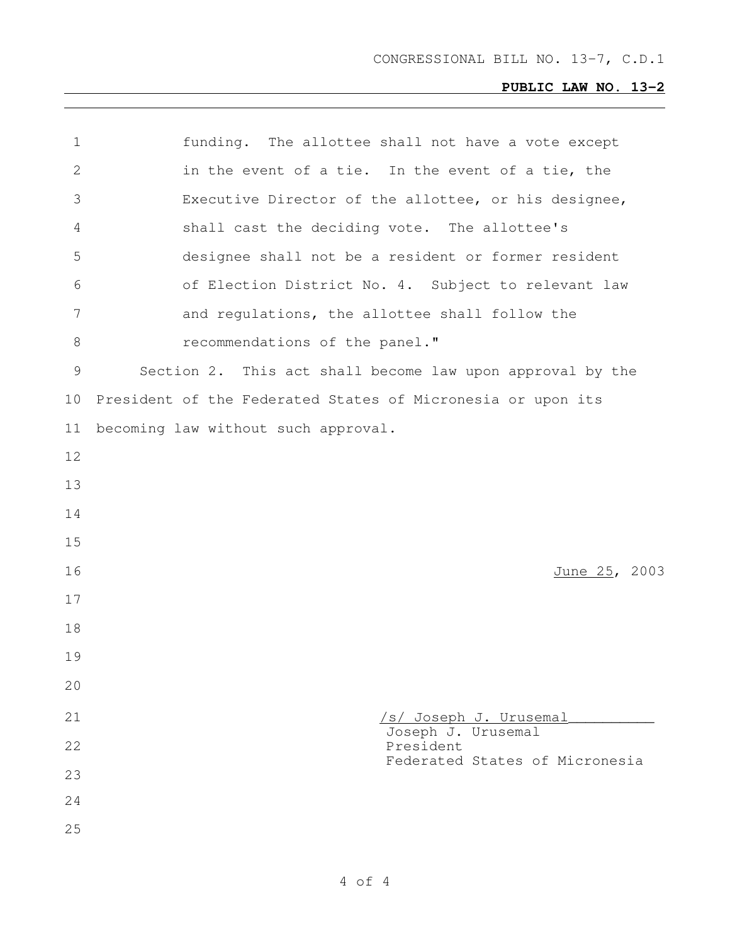| $\mathbf 1$ | funding. The allottee shall not have a vote except          |
|-------------|-------------------------------------------------------------|
| 2           | in the event of a tie. In the event of a tie, the           |
| 3           | Executive Director of the allottee, or his designee,        |
| 4           | shall cast the deciding vote. The allottee's                |
| 5           | designee shall not be a resident or former resident         |
| 6           | of Election District No. 4. Subject to relevant law         |
| 7           | and regulations, the allottee shall follow the              |
| 8           | recommendations of the panel."                              |
| 9           | Section 2. This act shall become law upon approval by the   |
| 10          | President of the Federated States of Micronesia or upon its |
| 11          | becoming law without such approval.                         |
| 12          |                                                             |
| 13          |                                                             |
| 14          |                                                             |
| 15          |                                                             |
| 16          | June 25, 2003                                               |
| 17          |                                                             |
| 18          |                                                             |
| 19          |                                                             |
| 20          |                                                             |
| 21          | <u>/s/ Joseph J. Urusemal</u><br>Joseph J. Urusemal         |
| 22          | President<br>Federated States of Micronesia                 |
| 23          |                                                             |
| 24          |                                                             |
| 25          |                                                             |